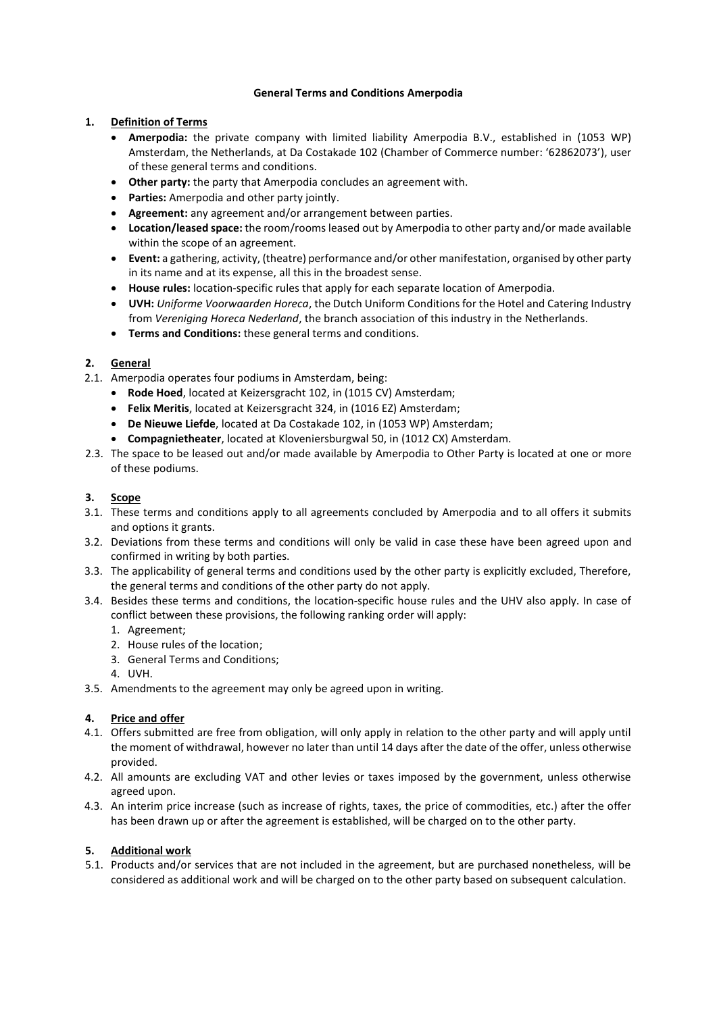### **General Terms and Conditions Amerpodia**

## **1. Definition of Terms**

- **Amerpodia:** the private company with limited liability Amerpodia B.V., established in (1053 WP) Amsterdam, the Netherlands, at Da Costakade 102 (Chamber of Commerce number: '62862073'), user of these general terms and conditions.
- **Other party:** the party that Amerpodia concludes an agreement with.
- **Parties:** Amerpodia and other party jointly.
- **Agreement:** any agreement and/or arrangement between parties.
- **Location/leased space:** the room/rooms leased out by Amerpodia to other party and/or made available within the scope of an agreement.
- **Event:** a gathering, activity, (theatre) performance and/or other manifestation, organised by other party in its name and at its expense, all this in the broadest sense.
- **House rules:** location-specific rules that apply for each separate location of Amerpodia.
- **UVH:** *Uniforme Voorwaarden Horeca*, the Dutch Uniform Conditions for the Hotel and Catering Industry from *Vereniging Horeca Nederland*, the branch association of this industry in the Netherlands.
- **Terms and Conditions:** these general terms and conditions.

# **2. General**

- 2.1. Amerpodia operates four podiums in Amsterdam, being:
	- **Rode Hoed**, located at Keizersgracht 102, in (1015 CV) Amsterdam;
	- **Felix Meritis**, located at Keizersgracht 324, in (1016 EZ) Amsterdam;
	- **De Nieuwe Liefde**, located at Da Costakade 102, in (1053 WP) Amsterdam;
	- **Compagnietheater**, located at Kloveniersburgwal 50, in (1012 CX) Amsterdam.
- 2.3. The space to be leased out and/or made available by Amerpodia to Other Party is located at one or more of these podiums.

## **3. Scope**

- 3.1. These terms and conditions apply to all agreements concluded by Amerpodia and to all offers it submits and options it grants.
- 3.2. Deviations from these terms and conditions will only be valid in case these have been agreed upon and confirmed in writing by both parties.
- 3.3. The applicability of general terms and conditions used by the other party is explicitly excluded, Therefore, the general terms and conditions of the other party do not apply.
- 3.4. Besides these terms and conditions, the location-specific house rules and the UHV also apply. In case of conflict between these provisions, the following ranking order will apply:
	- 1. Agreement;
	- 2. House rules of the location;
	- 3. General Terms and Conditions;
	- 4. UVH.
- 3.5. Amendments to the agreement may only be agreed upon in writing.

### **4. Price and offer**

- 4.1. Offers submitted are free from obligation, will only apply in relation to the other party and will apply until the moment of withdrawal, however no later than until 14 days after the date of the offer, unless otherwise provided.
- 4.2. All amounts are excluding VAT and other levies or taxes imposed by the government, unless otherwise agreed upon.
- 4.3. An interim price increase (such as increase of rights, taxes, the price of commodities, etc.) after the offer has been drawn up or after the agreement is established, will be charged on to the other party.

### **5. Additional work**

5.1. Products and/or services that are not included in the agreement, but are purchased nonetheless, will be considered as additional work and will be charged on to the other party based on subsequent calculation.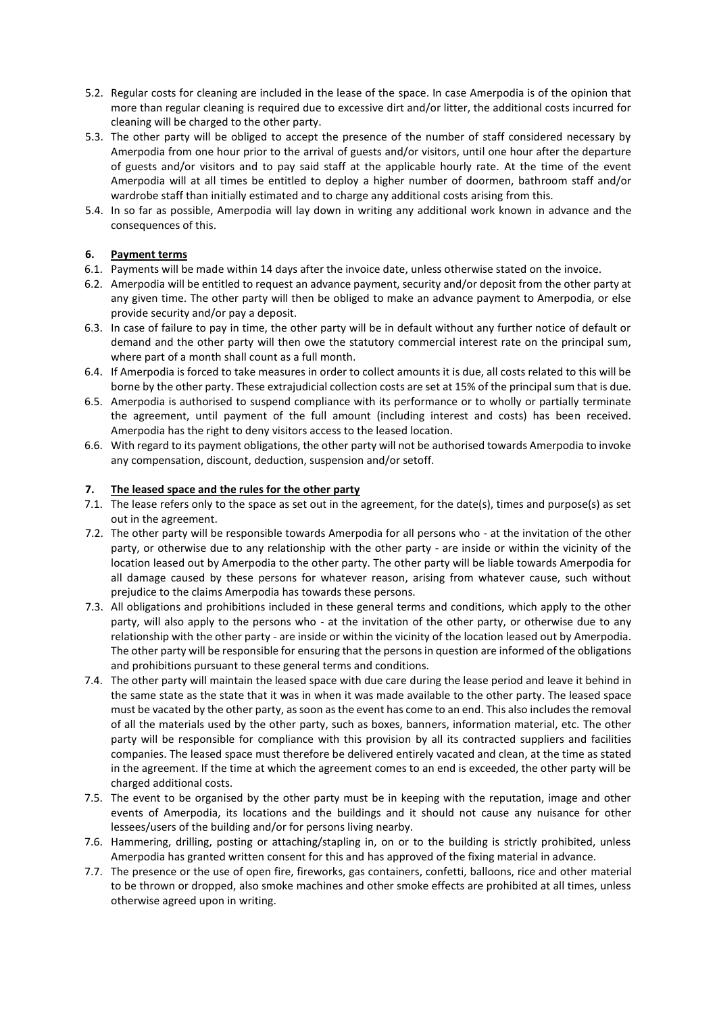- 5.2. Regular costs for cleaning are included in the lease of the space. In case Amerpodia is of the opinion that more than regular cleaning is required due to excessive dirt and/or litter, the additional costs incurred for cleaning will be charged to the other party.
- 5.3. The other party will be obliged to accept the presence of the number of staff considered necessary by Amerpodia from one hour prior to the arrival of guests and/or visitors, until one hour after the departure of guests and/or visitors and to pay said staff at the applicable hourly rate. At the time of the event Amerpodia will at all times be entitled to deploy a higher number of doormen, bathroom staff and/or wardrobe staff than initially estimated and to charge any additional costs arising from this.
- 5.4. In so far as possible, Amerpodia will lay down in writing any additional work known in advance and the consequences of this.

# **6. Payment terms**

- 6.1. Payments will be made within 14 days after the invoice date, unless otherwise stated on the invoice.
- 6.2. Amerpodia will be entitled to request an advance payment, security and/or deposit from the other party at any given time. The other party will then be obliged to make an advance payment to Amerpodia, or else provide security and/or pay a deposit.
- 6.3. In case of failure to pay in time, the other party will be in default without any further notice of default or demand and the other party will then owe the statutory commercial interest rate on the principal sum, where part of a month shall count as a full month.
- 6.4. If Amerpodia is forced to take measures in order to collect amounts it is due, all costs related to this will be borne by the other party. These extrajudicial collection costs are set at 15% of the principal sum that is due.
- 6.5. Amerpodia is authorised to suspend compliance with its performance or to wholly or partially terminate the agreement, until payment of the full amount (including interest and costs) has been received. Amerpodia has the right to deny visitors access to the leased location.
- 6.6. With regard to its payment obligations, the other party will not be authorised towards Amerpodia to invoke any compensation, discount, deduction, suspension and/or setoff.

## **7. The leased space and the rules for the other party**

- 7.1. The lease refers only to the space as set out in the agreement, for the date(s), times and purpose(s) as set out in the agreement.
- 7.2. The other party will be responsible towards Amerpodia for all persons who at the invitation of the other party, or otherwise due to any relationship with the other party - are inside or within the vicinity of the location leased out by Amerpodia to the other party. The other party will be liable towards Amerpodia for all damage caused by these persons for whatever reason, arising from whatever cause, such without prejudice to the claims Amerpodia has towards these persons.
- 7.3. All obligations and prohibitions included in these general terms and conditions, which apply to the other party, will also apply to the persons who - at the invitation of the other party, or otherwise due to any relationship with the other party - are inside or within the vicinity of the location leased out by Amerpodia. The other party will be responsible for ensuring that the persons in question are informed of the obligations and prohibitions pursuant to these general terms and conditions.
- 7.4. The other party will maintain the leased space with due care during the lease period and leave it behind in the same state as the state that it was in when it was made available to the other party. The leased space must be vacated by the other party, as soon as the event has come to an end. This also includes the removal of all the materials used by the other party, such as boxes, banners, information material, etc. The other party will be responsible for compliance with this provision by all its contracted suppliers and facilities companies. The leased space must therefore be delivered entirely vacated and clean, at the time as stated in the agreement. If the time at which the agreement comes to an end is exceeded, the other party will be charged additional costs.
- 7.5. The event to be organised by the other party must be in keeping with the reputation, image and other events of Amerpodia, its locations and the buildings and it should not cause any nuisance for other lessees/users of the building and/or for persons living nearby.
- 7.6. Hammering, drilling, posting or attaching/stapling in, on or to the building is strictly prohibited, unless Amerpodia has granted written consent for this and has approved of the fixing material in advance.
- 7.7. The presence or the use of open fire, fireworks, gas containers, confetti, balloons, rice and other material to be thrown or dropped, also smoke machines and other smoke effects are prohibited at all times, unless otherwise agreed upon in writing.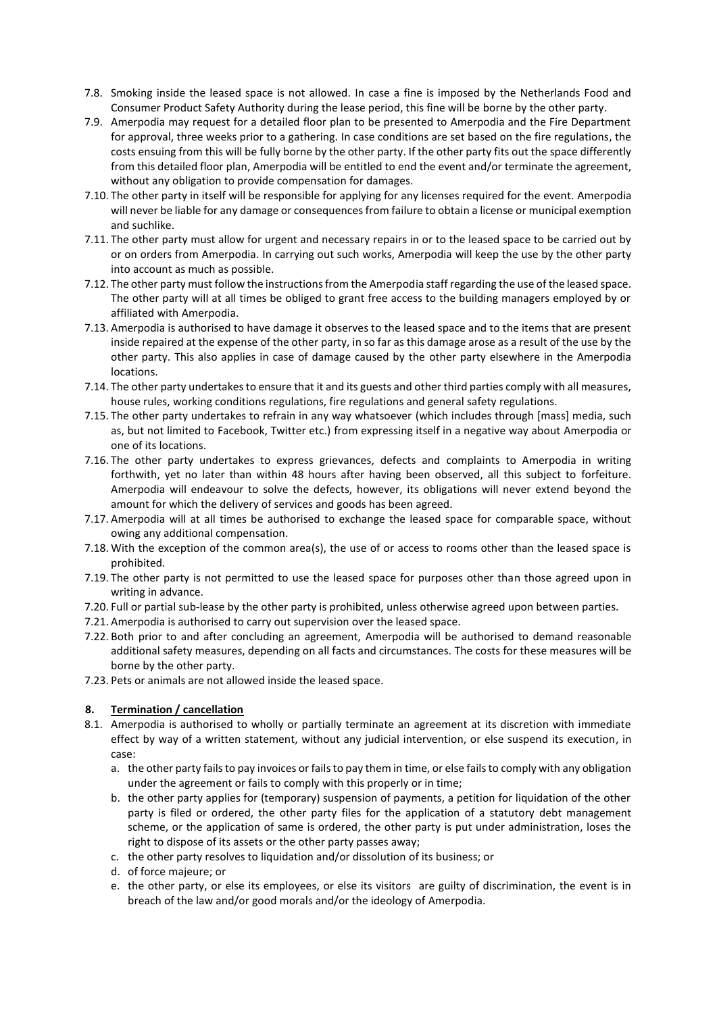- 7.8. Smoking inside the leased space is not allowed. In case a fine is imposed by the Netherlands Food and Consumer Product Safety Authority during the lease period, this fine will be borne by the other party.
- 7.9. Amerpodia may request for a detailed floor plan to be presented to Amerpodia and the Fire Department for approval, three weeks prior to a gathering. In case conditions are set based on the fire regulations, the costs ensuing from this will be fully borne by the other party. If the other party fits out the space differently from this detailed floor plan, Amerpodia will be entitled to end the event and/or terminate the agreement, without any obligation to provide compensation for damages.
- 7.10. The other party in itself will be responsible for applying for any licenses required for the event. Amerpodia will never be liable for any damage or consequences from failure to obtain a license or municipal exemption and suchlike.
- 7.11. The other party must allow for urgent and necessary repairs in or to the leased space to be carried out by or on orders from Amerpodia. In carrying out such works, Amerpodia will keep the use by the other party into account as much as possible.
- 7.12. The other party must follow the instructions from the Amerpodia staff regarding the use of the leased space. The other party will at all times be obliged to grant free access to the building managers employed by or affiliated with Amerpodia.
- 7.13. Amerpodia is authorised to have damage it observes to the leased space and to the items that are present inside repaired at the expense of the other party, in so far as this damage arose as a result of the use by the other party. This also applies in case of damage caused by the other party elsewhere in the Amerpodia locations.
- 7.14. The other party undertakes to ensure that it and its guests and other third parties comply with all measures, house rules, working conditions regulations, fire regulations and general safety regulations.
- 7.15. The other party undertakes to refrain in any way whatsoever (which includes through [mass] media, such as, but not limited to Facebook, Twitter etc.) from expressing itself in a negative way about Amerpodia or one of its locations.
- 7.16. The other party undertakes to express grievances, defects and complaints to Amerpodia in writing forthwith, yet no later than within 48 hours after having been observed, all this subject to forfeiture. Amerpodia will endeavour to solve the defects, however, its obligations will never extend beyond the amount for which the delivery of services and goods has been agreed.
- 7.17. Amerpodia will at all times be authorised to exchange the leased space for comparable space, without owing any additional compensation.
- 7.18. With the exception of the common area(s), the use of or access to rooms other than the leased space is prohibited.
- 7.19. The other party is not permitted to use the leased space for purposes other than those agreed upon in writing in advance.
- 7.20. Full or partial sub-lease by the other party is prohibited, unless otherwise agreed upon between parties.
- 7.21. Amerpodia is authorised to carry out supervision over the leased space.
- 7.22. Both prior to and after concluding an agreement, Amerpodia will be authorised to demand reasonable additional safety measures, depending on all facts and circumstances. The costs for these measures will be borne by the other party.
- 7.23. Pets or animals are not allowed inside the leased space.

# **8. Termination / cancellation**

- 8.1. Amerpodia is authorised to wholly or partially terminate an agreement at its discretion with immediate effect by way of a written statement, without any judicial intervention, or else suspend its execution, in case:
	- a. the other party fails to pay invoices or fails to pay them in time, or else fails to comply with any obligation under the agreement or fails to comply with this properly or in time;
	- b. the other party applies for (temporary) suspension of payments, a petition for liquidation of the other party is filed or ordered, the other party files for the application of a statutory debt management scheme, or the application of same is ordered, the other party is put under administration, loses the right to dispose of its assets or the other party passes away;
	- c. the other party resolves to liquidation and/or dissolution of its business; or
	- d. of force majeure; or
	- e. the other party, or else its employees, or else its visitors are guilty of discrimination, the event is in breach of the law and/or good morals and/or the ideology of Amerpodia.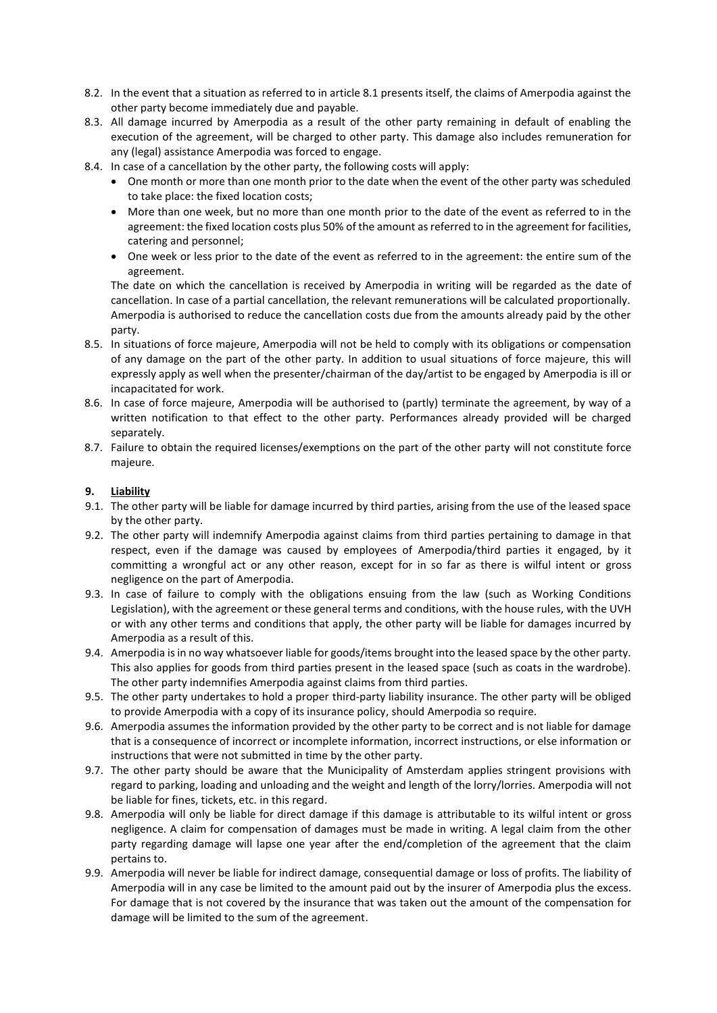- 8.2. In the event that a situation as referred to in article 8.1 presents itself, the claims of Amerpodia against the other party become immediately due and payable.
- 8.3. All damage incurred by Amerpodia as a result of the other party remaining in default of enabling the execution of the agreement, will be charged to other party. This damage also includes remuneration for any (legal) assistance Amerpodia was forced to engage.
- 8.4. In case of a cancellation by the other party, the following costs will apply:
	- One month or more than one month prior to the date when the event of the other party was scheduled to take place: the fixed location costs;
	- More than one week, but no more than one month prior to the date of the event as referred to in the agreement: the fixed location costs plus 50% of the amount as referred to in the agreement for facilities, catering and personnel;
	- One week or less prior to the date of the event as referred to in the agreement: the entire sum of the agreement.

The date on which the cancellation is received by Amerpodia in writing will be regarded as the date of cancellation. In case of a partial cancellation, the relevant remunerations will be calculated proportionally. Amerpodia is authorised to reduce the cancellation costs due from the amounts already paid by the other party.

- 8.5. In situations of force majeure, Amerpodia will not be held to comply with its obligations or compensation of any damage on the part of the other party. In addition to usual situations of force majeure, this will expressly apply as well when the presenter/chairman of the day/artist to be engaged by Amerpodia is ill or incapacitated for work.
- 8.6. In case of force majeure, Amerpodia will be authorised to (partly) terminate the agreement, by way of a written notification to that effect to the other party. Performances already provided will be charged separately.
- 8.7. Failure to obtain the required licenses/exemptions on the part of the other party will not constitute force majeure.

## **9. Liability**

- 9.1. The other party will be liable for damage incurred by third parties, arising from the use of the leased space by the other party.
- 9.2. The other party will indemnify Amerpodia against claims from third parties pertaining to damage in that respect, even if the damage was caused by employees of Amerpodia/third parties it engaged, by it committing a wrongful act or any other reason, except for in so far as there is wilful intent or gross negligence on the part of Amerpodia.
- 9.3. In case of failure to comply with the obligations ensuing from the law (such as Working Conditions Legislation), with the agreement or these general terms and conditions, with the house rules, with the UVH or with any other terms and conditions that apply, the other party will be liable for damages incurred by Amerpodia as a result of this.
- 9.4. Amerpodia is in no way whatsoever liable for goods/items brought into the leased space by the other party. This also applies for goods from third parties present in the leased space (such as coats in the wardrobe). The other party indemnifies Amerpodia against claims from third parties.
- 9.5. The other party undertakes to hold a proper third-party liability insurance. The other party will be obliged to provide Amerpodia with a copy of its insurance policy, should Amerpodia so require.
- 9.6. Amerpodia assumes the information provided by the other party to be correct and is not liable for damage that is a consequence of incorrect or incomplete information, incorrect instructions, or else information or instructions that were not submitted in time by the other party.
- 9.7. The other party should be aware that the Municipality of Amsterdam applies stringent provisions with regard to parking, loading and unloading and the weight and length of the lorry/lorries. Amerpodia will not be liable for fines, tickets, etc. in this regard.
- 9.8. Amerpodia will only be liable for direct damage if this damage is attributable to its wilful intent or gross negligence. A claim for compensation of damages must be made in writing. A legal claim from the other party regarding damage will lapse one year after the end/completion of the agreement that the claim pertains to.
- 9.9. Amerpodia will never be liable for indirect damage, consequential damage or loss of profits. The liability of Amerpodia will in any case be limited to the amount paid out by the insurer of Amerpodia plus the excess. For damage that is not covered by the insurance that was taken out the amount of the compensation for damage will be limited to the sum of the agreement.